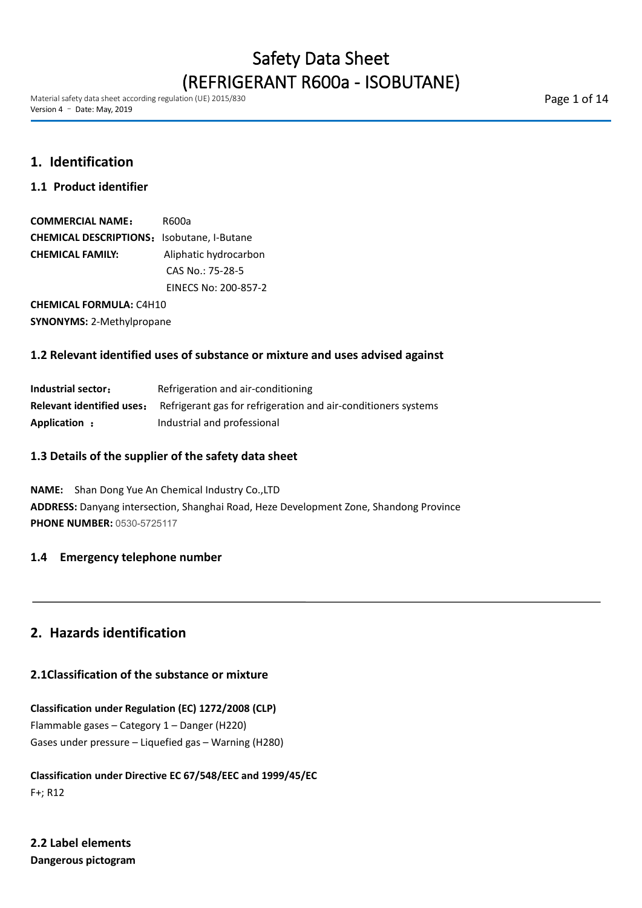Material safety data sheet according regulation (UE) 2015/830 Version 4 – Date: May, 2019

Page 1 of 14

# **1. Identification**

# **1.1 Product identifier**

| <b>COMMERCIAL NAME:</b>                           | R600a                 |
|---------------------------------------------------|-----------------------|
| <b>CHEMICAL DESCRIPTIONS:</b> Isobutane, I-Butane |                       |
| CHEMICAL FAMILY:                                  | Aliphatic hydrocarbon |
|                                                   | CAS No.: 75-28-5      |
|                                                   | EINECS No: 200-857-2  |
|                                                   |                       |

**CHEMICAL FORMULA:** C4H10 **SYNONYMS:** 2-Methylpropane

## **1.2 Relevant identified uses of substance or mixture and uses advised against**

| Industrial sector:               | Refrigeration and air-conditioning                             |
|----------------------------------|----------------------------------------------------------------|
| <b>Relevant identified uses:</b> | Refrigerant gas for refrigeration and air-conditioners systems |
| Application:                     | Industrial and professional                                    |

## **1.3 Details of the supplier of the safety data sheet**

**NAME:** Shan Dong Yue An Chemical Industry Co.,LTD **ADDRESS:** Danyang intersection, Shanghai Road, Heze Development Zone, Shandong Province **PHONE NUMBER:** 0530-5725117

## **1.4 Emergency telephone number**

# **2. Hazards identification**

## **2.1Classification of the substance or mixture**

**Classification under Regulation (EC) 1272/2008 (CLP)** Flammable gases – Category 1 – Danger (H220) Gases under pressure – Liquefied gas – Warning (H280)

**Classification under Directive EC 67/548/EEC and 1999/45/EC** F+; R12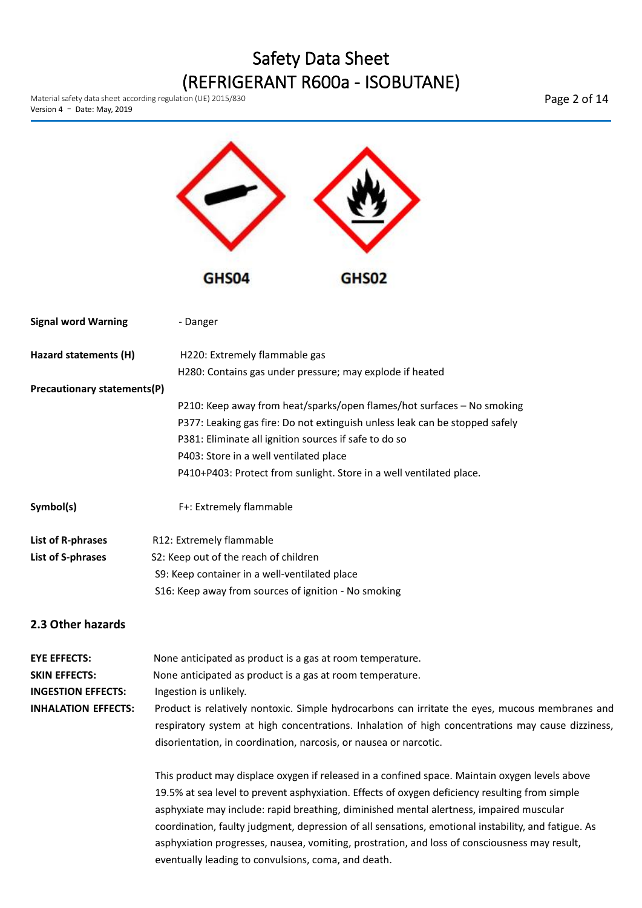

disorientation, in coordination, narcosis, or nausea or narcotic.

This product may displace oxygen if released in a confined space. Maintain oxygen levels above 19.5% at sea level to prevent asphyxiation. Effects of oxygen deficiency resulting from simple asphyxiate may include: rapid breathing, diminished mental alertness, impaired muscular coordination, faulty judgment, depression of all sensations, emotional instability, and fatigue. As asphyxiation progresses, nausea, vomiting, prostration, and loss of consciousness may result, eventually leading to convulsions, coma, and death.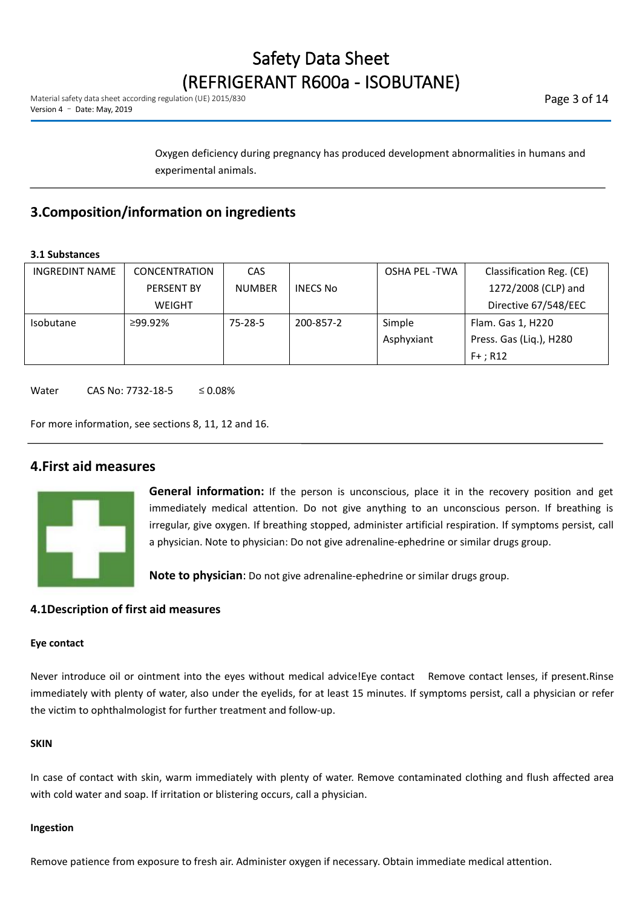Oxygen deficiency during pregnancy has produced development abnormalities in humans and experimental animals.

# **3.Composition/information on ingredients**

### **3.1 Substances**

| <b>INGREDINT NAME</b> | CONCENTRATION     | <b>CAS</b>    |                 | OSHA PEL -TWA | Classification Reg. (CE) |
|-----------------------|-------------------|---------------|-----------------|---------------|--------------------------|
|                       | <b>PERSENT BY</b> | <b>NUMBER</b> | <b>INECS No</b> |               | 1272/2008 (CLP) and      |
|                       | <b>WEIGHT</b>     |               |                 |               | Directive 67/548/EEC     |
| <b>Isobutane</b>      | ≥99.92%           | $75 - 28 - 5$ | 200-857-2       | Simple        | Flam. Gas 1, H220        |
|                       |                   |               |                 | Asphyxiant    | Press. Gas (Liq.), H280  |
|                       |                   |               |                 |               | $F+$ ; R12               |

Water CAS No: 7732-18-5 ≤ 0.08%

For more information, see sections 8, 11, 12 and 16.

# **4.First aid measures**



**General information:** If the person is unconscious, place it in the recovery position and get immediately medical attention. Do not give anything to an unconscious person. If breathing is irregular, give oxygen. If breathing stopped, administer artificial respiration. If symptoms persist, call a physician. Note to physician: Do not give adrenaline-ephedrine or similar drugs group.

**Note to physician**: Do not give adrenaline-ephedrine or similar drugs group.

## **4.1Description of first aid measures**

#### **Eye contact**

Never introduce oil or ointment into the eyes without medical advice!Eye contact Remove contact lenses, if present.Rinse immediately with plenty of water, also under the eyelids, for at least 15 minutes. If symptoms persist, call a physician or refer the victim to ophthalmologist for further treatment and follow-up.

### **SKIN**

In case of contact with skin, warm immediately with plenty of water. Remove contaminated clothing and flush affected area with cold water and soap. If irritation or blistering occurs, call a physician.

#### **Ingestion**

Remove patience from exposure to fresh air. Administer oxygen if necessary. Obtain immediate medical attention.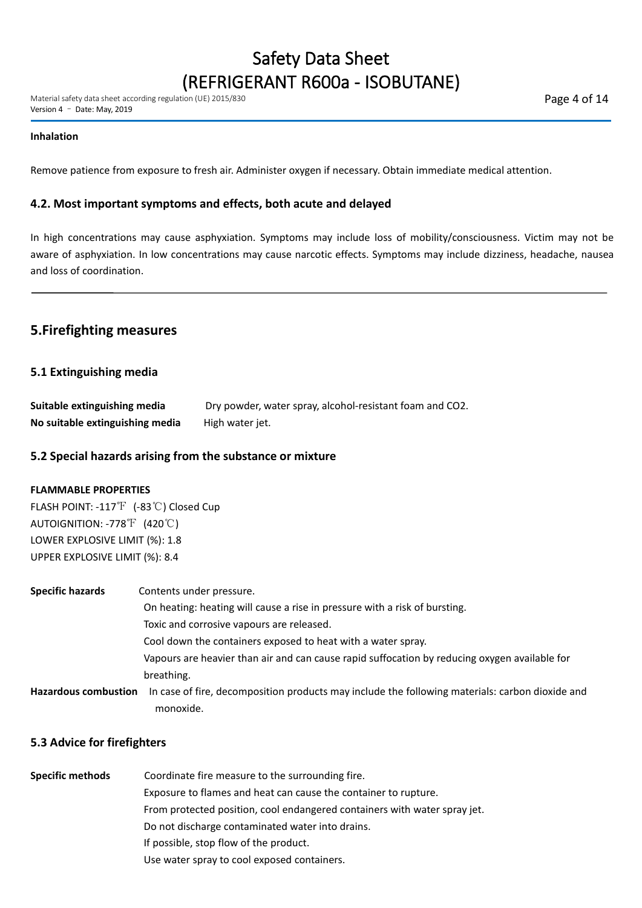#### **Inhalation**

Remove patience from exposure to fresh air. Administer oxygen if necessary. Obtain immediate medical attention.

### **4.2. Most important symptoms and effects, both acute and delayed**

In high concentrations may cause asphyxiation. Symptoms may include loss of mobility/consciousness. Victim may not be aware of asphyxiation. In low concentrations may cause narcotic effects. Symptoms may include dizziness, headache, nausea and loss of coordination.

# **5.Firefighting measures**

### **5.1 Extinguishing media**

| Suitable extinguishing media    | Dry powder, water spray, alcohol-resistant foam and CO2. |
|---------------------------------|----------------------------------------------------------|
| No suitable extinguishing media | High water jet.                                          |

### **5.2 Special hazards arising from the substance or mixture**

### **FLAMMABLE PROPERTIES**

FLASH POINT: -117℉ (-83℃) Closed Cup AUTOIGNITION: -778℉ (420℃) LOWER EXPLOSIVE LIMIT (%): 1.8 UPPER EXPLOSIVE LIMIT (%): 8.4

| <b>Specific hazards</b>     | Contents under pressure.                                                                        |
|-----------------------------|-------------------------------------------------------------------------------------------------|
|                             | On heating: heating will cause a rise in pressure with a risk of bursting.                      |
|                             | Toxic and corrosive vapours are released.                                                       |
|                             | Cool down the containers exposed to heat with a water spray.                                    |
|                             | Vapours are heavier than air and can cause rapid suffocation by reducing oxygen available for   |
|                             | breathing.                                                                                      |
| <b>Hazardous combustion</b> | In case of fire, decomposition products may include the following materials: carbon dioxide and |
|                             | monoxide.                                                                                       |

### **5.3 Advice for firefighters**

| <b>Specific methods</b> | Coordinate fire measure to the surrounding fire.                          |
|-------------------------|---------------------------------------------------------------------------|
|                         | Exposure to flames and heat can cause the container to rupture.           |
|                         | From protected position, cool endangered containers with water spray jet. |
|                         | Do not discharge contaminated water into drains.                          |
|                         | If possible, stop flow of the product.                                    |
|                         | Use water spray to cool exposed containers.                               |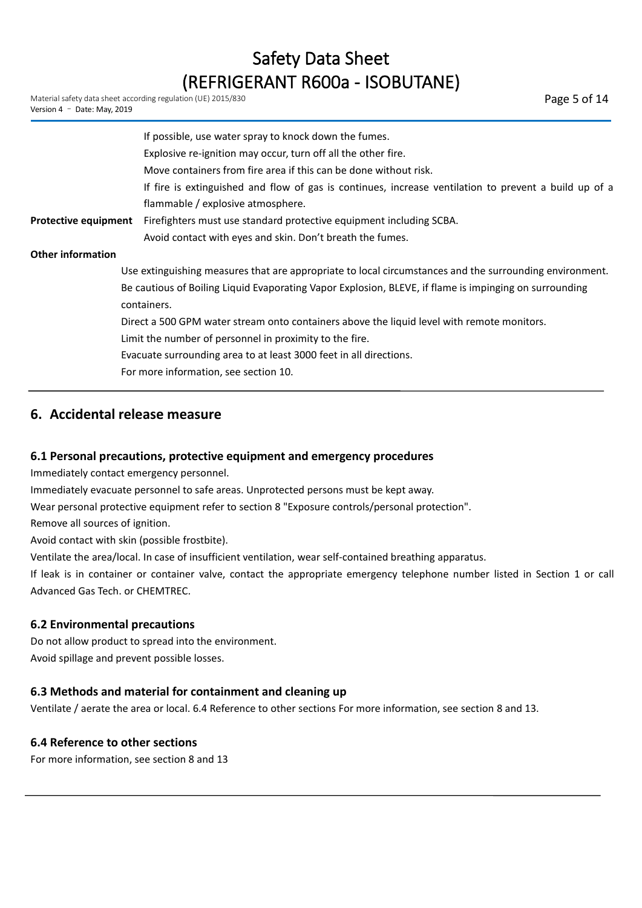|                             | If possible, use water spray to knock down the fumes.                                                   |  |
|-----------------------------|---------------------------------------------------------------------------------------------------------|--|
|                             | Explosive re-ignition may occur, turn off all the other fire.                                           |  |
|                             | Move containers from fire area if this can be done without risk.                                        |  |
|                             | If fire is extinguished and flow of gas is continues, increase ventilation to prevent a build up of a   |  |
|                             | flammable / explosive atmosphere.                                                                       |  |
| <b>Protective equipment</b> | Firefighters must use standard protective equipment including SCBA.                                     |  |
|                             | Avoid contact with eyes and skin. Don't breath the fumes.                                               |  |
| <b>Other information</b>    |                                                                                                         |  |
|                             | Use extinguishing measures that are appropriate to local circumstances and the surrounding environment. |  |
|                             | Be cautious of Boiling Liquid Evaporating Vapor Explosion, BLEVE, if flame is impinging on surrounding  |  |
|                             | containers.                                                                                             |  |
|                             | Direct a 500 GPM water stream onto containers above the liquid level with remote monitors.              |  |
|                             | Limit the number of personnel in proximity to the fire.                                                 |  |
|                             | Evacuate surrounding area to at least 3000 feet in all directions.                                      |  |
|                             | For more information, see section 10.                                                                   |  |
|                             |                                                                                                         |  |

# **6. Accidental release measure**

### **6.1 Personal precautions, protective equipment and emergency procedures**

Immediately contact emergency personnel.

Immediately evacuate personnel to safe areas. Unprotected persons must be kept away.

Wear personal protective equipment refer to section 8 "Exposure controls/personal protection".

Remove all sources of ignition.

Avoid contact with skin (possible frostbite).

Ventilate the area/local. In case of insufficient ventilation, wear self-contained breathing apparatus.

If leak is in container or container valve, contact the appropriate emergency telephone number listed in Section 1 or call Advanced Gas Tech. or CHEMTREC.

## **6.2 Environmental precautions**

Do not allow product to spread into the environment. Avoid spillage and prevent possible losses.

## **6.3 Methods and material for containment and cleaning up**

Ventilate / aerate the area or local. 6.4 Reference to other sections For more information, see section 8 and 13.

### **6.4 Reference to other sections**

For more information, see section 8 and 13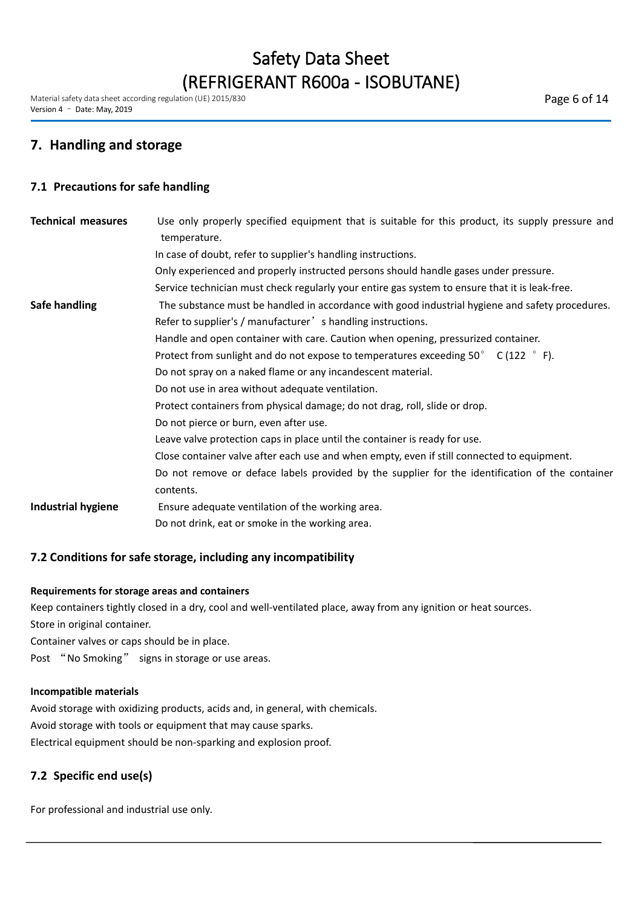Material safety data sheet according regulation (UE) 2015/830 Version 4 – Date: May, 2019

# **7. Handling and storage**

### **7.1 Precautions for safe handling**

| <b>Technical measures</b> | Use only properly specified equipment that is suitable for this product, its supply pressure and<br>temperature. |
|---------------------------|------------------------------------------------------------------------------------------------------------------|
|                           | In case of doubt, refer to supplier's handling instructions.                                                     |
|                           | Only experienced and properly instructed persons should handle gases under pressure.                             |
|                           | Service technician must check regularly your entire gas system to ensure that it is leak-free.                   |
| Safe handling             | The substance must be handled in accordance with good industrial hygiene and safety procedures.                  |
|                           | Refer to supplier's / manufacturer' s handling instructions.                                                     |
|                           | Handle and open container with care. Caution when opening, pressurized container.                                |
|                           | Protect from sunlight and do not expose to temperatures exceeding $50^{\circ}$ C (122 $^{\circ}$ F).             |
|                           | Do not spray on a naked flame or any incandescent material.                                                      |
|                           | Do not use in area without adequate ventilation.                                                                 |
|                           | Protect containers from physical damage; do not drag, roll, slide or drop.                                       |
|                           | Do not pierce or burn, even after use.                                                                           |
|                           | Leave valve protection caps in place until the container is ready for use.                                       |
|                           | Close container valve after each use and when empty, even if still connected to equipment.                       |
|                           | Do not remove or deface labels provided by the supplier for the identification of the container                  |
|                           | contents.                                                                                                        |
| <b>Industrial hygiene</b> | Ensure adequate ventilation of the working area.                                                                 |
|                           | Do not drink, eat or smoke in the working area.                                                                  |

## **7.2 Conditions for safe storage, including any incompatibility**

### **Requirements for storage areas and containers**

Keep containers tightly closed in a dry, cool and well-ventilated place, away from any ignition or heat sources. Store in original container.

Container valves or caps should be in place.

Post "No Smoking" signs in storage or use areas.

### **Incompatible materials**

Avoid storage with oxidizing products, acids and, in general, with chemicals. Avoid storage with tools or equipment that may cause sparks. Electrical equipment should be non-sparking and explosion proof.

## **7.2 Specific end use(s)**

For professional and industrial use only.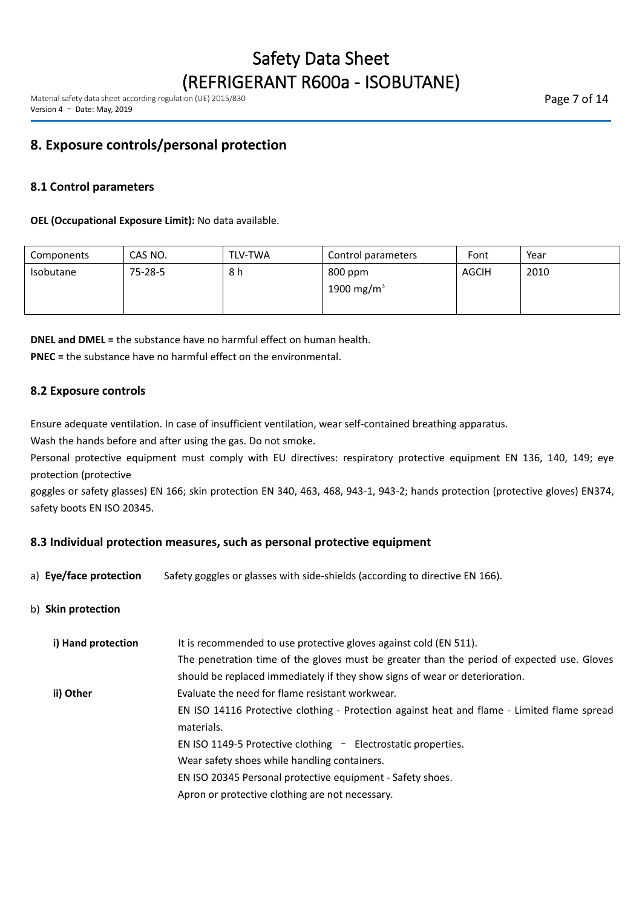# **8. Exposure controls/personal protection**

## **8.1 Control parameters**

### **OEL (Occupational Exposure Limit):** No data available.

| Components | CAS NO.       | <b>TLV-TWA</b> | Control parameters     | Font  | Year |  |
|------------|---------------|----------------|------------------------|-------|------|--|
| Isobutane  | $75 - 28 - 5$ | 8 h            | 800 ppm                | AGCIH | 2010 |  |
|            |               |                | 1900 mg/m <sup>3</sup> |       |      |  |
|            |               |                |                        |       |      |  |

**DNEL and DMEL =** the substance have no harmful effect on human health. **PNEC =** the substance have no harmful effect on the environmental.

### **8.2 Exposure controls**

Ensure adequate ventilation. In case of insufficient ventilation, wear self-contained breathing apparatus.

Wash the hands before and after using the gas. Do not smoke.

Personal protective equipment must comply with EU directives: respiratory protective equipment EN 136, 140, 149; eye protection (protective

goggles or safety glasses) EN 166; skin protection EN 340, 463, 468, 943-1, 943-2; hands protection (protective gloves) EN374, safety boots EN ISO 20345.

### **8.3 Individual protection measures, such as personal protective equipment**

- a) **Eye/face protection** Safety goggles or glasses with side-shields (according to directive EN 166).
- b) **Skin protection**

| i) Hand protection | It is recommended to use protective gloves against cold (EN 511).                           |
|--------------------|---------------------------------------------------------------------------------------------|
|                    |                                                                                             |
|                    | The penetration time of the gloves must be greater than the period of expected use. Gloves  |
|                    | should be replaced immediately if they show signs of wear or deterioration.                 |
| ii) Other          | Evaluate the need for flame resistant workwear.                                             |
|                    | EN ISO 14116 Protective clothing - Protection against heat and flame - Limited flame spread |
|                    | materials.                                                                                  |
|                    | EN ISO 1149-5 Protective clothing - Electrostatic properties.                               |
|                    | Wear safety shoes while handling containers.                                                |
|                    | EN ISO 20345 Personal protective equipment - Safety shoes.                                  |
|                    | Apron or protective clothing are not necessary.                                             |
|                    |                                                                                             |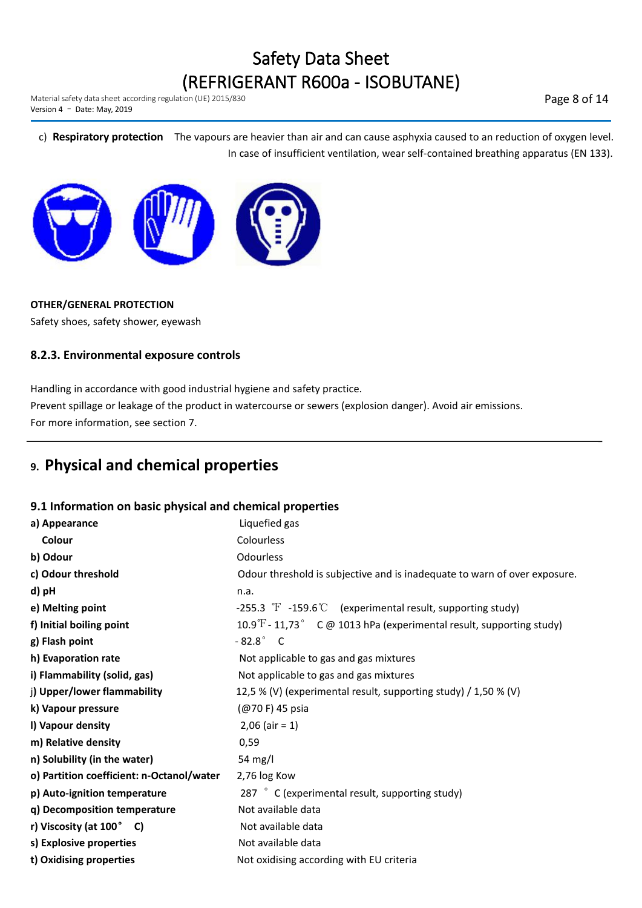Material safety data sheet according regulation (UE) 2015/830 Version 4 – Date: May, 2019

Page 8 of 14

c) **Respiratory protection** The vapours are heavier than air and can cause asphyxia caused to an reduction of oxygen level. In case of insufficient ventilation, wear self-contained breathing apparatus (EN 133).



### **OTHER/GENERAL PROTECTION**

Safety shoes, safety shower, eyewash

## **8.2.3. Environmental exposure controls**

Handling in accordance with good industrial hygiene and safety practice. Prevent spillage or leakage of the product in watercourse or sewers (explosion danger). Avoid air emissions. For more information, see section 7.

# **9. Physical and chemical properties**

## **9.1 Information on basic physical and chemical properties**

| a) Appearance                             | Liquefied gas                                                                                   |
|-------------------------------------------|-------------------------------------------------------------------------------------------------|
| Colour                                    | Colourless                                                                                      |
| b) Odour                                  | Odourless                                                                                       |
| c) Odour threshold                        | Odour threshold is subjective and is inadequate to warn of over exposure.                       |
| d) pH                                     | n.a.                                                                                            |
| e) Melting point                          | -255.3 $\textdegree$ -159.6 $\textdegree$ (experimental result, supporting study)               |
| f) Initial boiling point                  | 10.9 $\textdegree$ F - 11,73 $\textdegree$ C @ 1013 hPa (experimental result, supporting study) |
| g) Flash point                            | $-82.8^\circ$ C                                                                                 |
| h) Evaporation rate                       | Not applicable to gas and gas mixtures                                                          |
| i) Flammability (solid, gas)              | Not applicable to gas and gas mixtures                                                          |
| j) Upper/lower flammability               | 12,5 % (V) (experimental result, supporting study) / 1,50 % (V)                                 |
| k) Vapour pressure                        | (@70 F) 45 psia                                                                                 |
| I) Vapour density                         | $2,06$ (air = 1)                                                                                |
| m) Relative density                       | 0,59                                                                                            |
| n) Solubility (in the water)              | 54 mg/l                                                                                         |
| o) Partition coefficient: n-Octanol/water | 2,76 log Kow                                                                                    |
| p) Auto-ignition temperature              | 287 ° C (experimental result, supporting study)                                                 |
| q) Decomposition temperature              | Not available data                                                                              |
| r) Viscosity (at 100° C)                  | Not available data                                                                              |
| s) Explosive properties                   | Not available data                                                                              |
| t) Oxidising properties                   | Not oxidising according with EU criteria                                                        |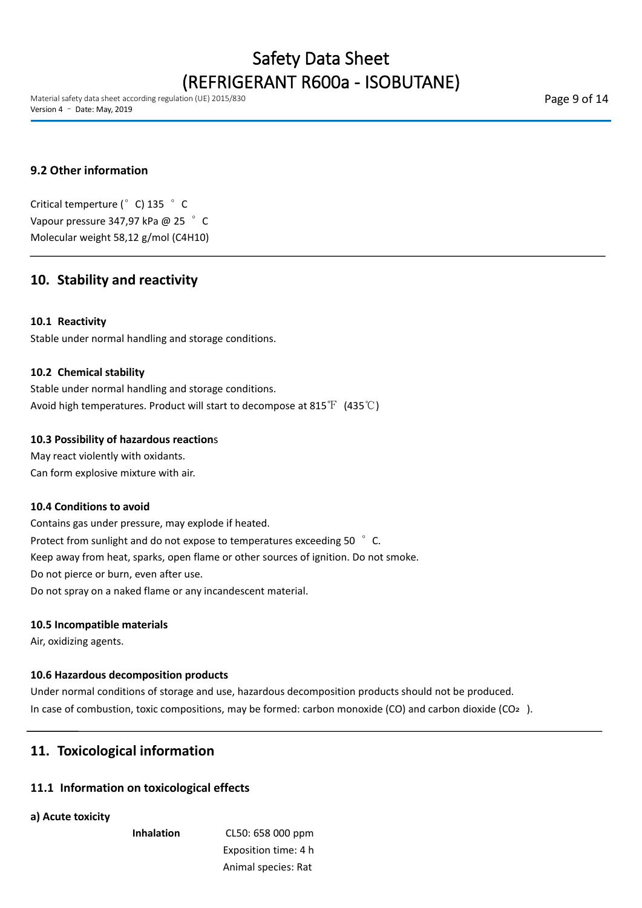Material safety data sheet according regulation (UE) 2015/830 Version 4 – Date: May, 2019

Page 9 of 14

# **9.2 Other information**

Critical temperture (°C) 135 °C Vapour pressure 347,97 kPa @ 25 ° C Molecular weight 58,12 g/mol (C4H10)

# **10. Stability and reactivity**

### **10.1 Reactivity**

Stable under normal handling and storage conditions.

### **10.2 Chemical stability**

Stable under normal handling and storage conditions.<br>Avoid high temperatures. Product will start to decompose at 815℉ (435℃)

### **10.3 Possibility of hazardous reaction**s

May react violently with oxidants. Can form explosive mixture with air.

#### **10.4 Conditions to avoid**

Contains gas under pressure, may explode if heated. Protect from sunlight and do not expose to temperatures exceeding 50 °C. Keep away from heat, sparks, open flame or other sources of ignition. Do not smoke. Do not pierce or burn, even after use.<br>Do not spray on a naked flame or any incandescent material.

#### **10.5 Incompatible materials**

Air, oxidizing agents.

### **10.6 Hazardous decomposition products**

Under normal conditions of storage and use, hazardous decomposition products should not be produced. In case of combustion, toxic compositions, may be formed: carbon monoxide (CO) and carbon dioxide (CO<sub>2</sub>).

# **11. Toxicological information**

### **11.1 Information on toxicological effects**

#### **a) Acute toxicity**

**Inhalation** CL50: 658 000 ppm Exposition time: 4 h Animal species: Rat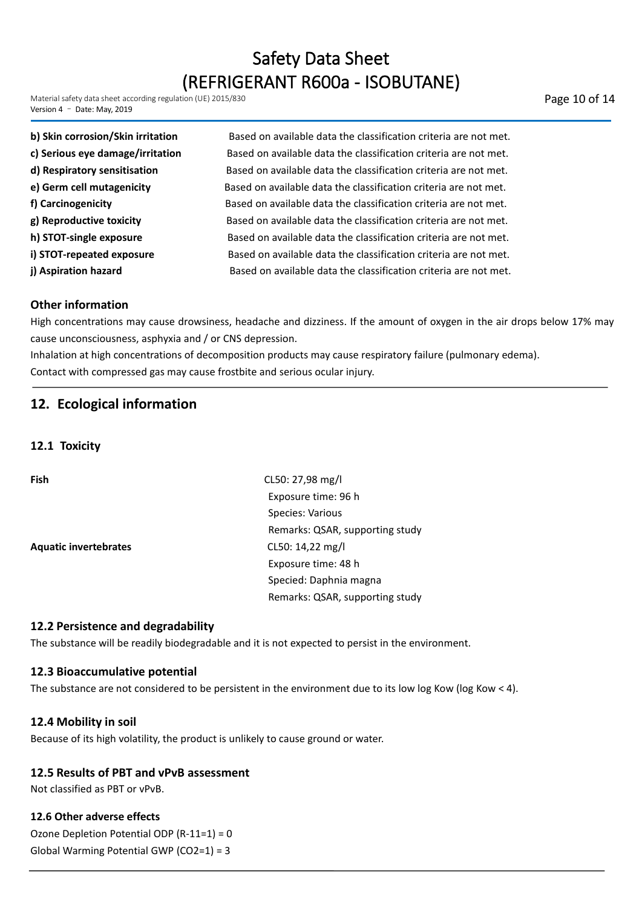Material safety data sheet according regulation (UE) 2015/830 Version 4 – Date: May, 2019

| b) Skin corrosion/Skin irritation | Based on available data the classification criteria are not met. |
|-----------------------------------|------------------------------------------------------------------|
| c) Serious eye damage/irritation  | Based on available data the classification criteria are not met. |
| d) Respiratory sensitisation      | Based on available data the classification criteria are not met. |
| e) Germ cell mutagenicity         | Based on available data the classification criteria are not met. |
| f) Carcinogenicity                | Based on available data the classification criteria are not met. |
| g) Reproductive toxicity          | Based on available data the classification criteria are not met. |
| h) STOT-single exposure           | Based on available data the classification criteria are not met. |
| i) STOT-repeated exposure         | Based on available data the classification criteria are not met. |
| j) Aspiration hazard              | Based on available data the classification criteria are not met. |

## **Other information**

High concentrations may cause drowsiness, headache and dizziness. If the amount of oxygen in the air drops below 17% may cause unconsciousness, asphyxia and / or CNS depression.

Inhalation at high concentrations of decomposition products may cause respiratory failure (pulmonary edema). Contact with compressed gas may cause frostbite and serious ocular injury.

# **12. Ecological information**

**12.1 Toxicity**

**Aquatic invertebrates** CL50: 14,22 mg/l

**Fish** CL50: 27,98 mg/l Exposure time: 96 h Species: Various Remarks: QSAR, supporting study Exposure time: 48 h Specied: Daphnia magna Remarks: QSAR, supporting study

### **12.2 Persistence and degradability**

The substance will be readily biodegradable and it is not expected to persist in the environment.

#### **12.3 Bioaccumulative potential**

The substance are not considered to be persistent in the environment due to its low log Kow (log Kow < 4).

#### **12.4 Mobility in soil**

Because of its high volatility, the product is unlikely to cause ground or water.

#### **12.5 Results of PBT and vPvB assessment**

Not classified as PBT or vPvB.

#### **12.6 Other adverse effects**

Ozone Depletion Potential ODP (R-11=1) = 0 Global Warming Potential GWP (CO2=1) = 3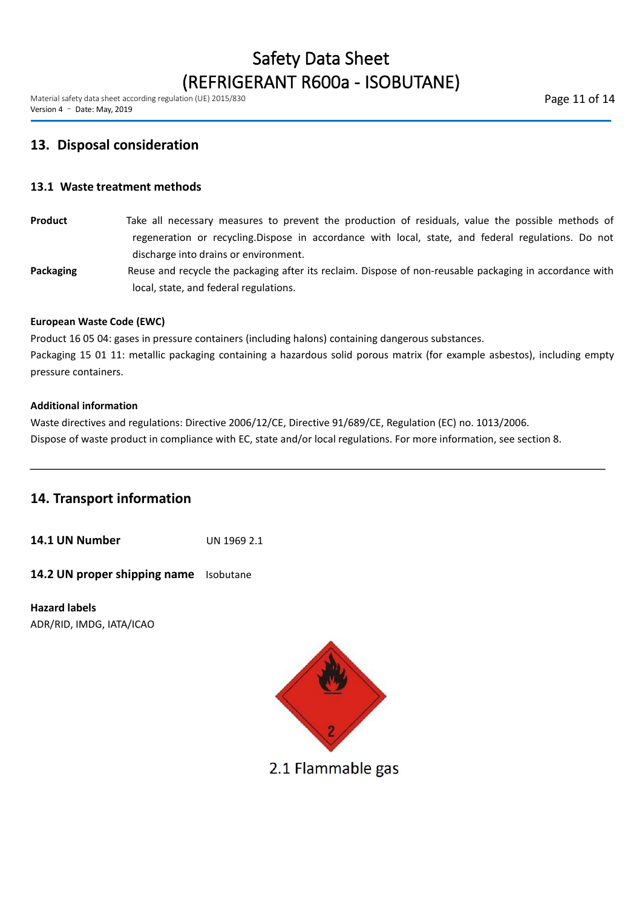Material safety data sheet according regulation (UE) 2015/830 Version 4 – Date: May, 2019

# **13. Disposal consideration**

### **13.1 Waste treatment methods**

- **Product** Take all necessary measures to prevent the production of residuals, value the possible methods of regeneration or recycling.Dispose in accordance with local, state, and federal regulations. Do not discharge into drains or environment.
- Packaging Reuse and recycle the packaging after its reclaim. Dispose of non-reusable packaging in accordance with local, state, and federal regulations.

### **European Waste Code (EWC)**

Product 16 05 04: gases in pressure containers (including halons) containing dangerous substances.

Packaging 15 01 11: metallic packaging containing a hazardous solid porous matrix (for example asbestos), including empty pressure containers.

### **Additional information**

Waste directives and regulations: Directive 2006/12/CE, Directive 91/689/CE, Regulation (EC) no. 1013/2006. Dispose of waste product in compliance with EC, state and/or local regulations. For more information, see section 8.

# **14. Transport information**

**14.1 UN Number** UN 1969 2.1

**14.2 UN proper shipping name** Isobutane

**Hazard labels** ADR/RID, IMDG, IATA/ICAO



2.1 Flammable gas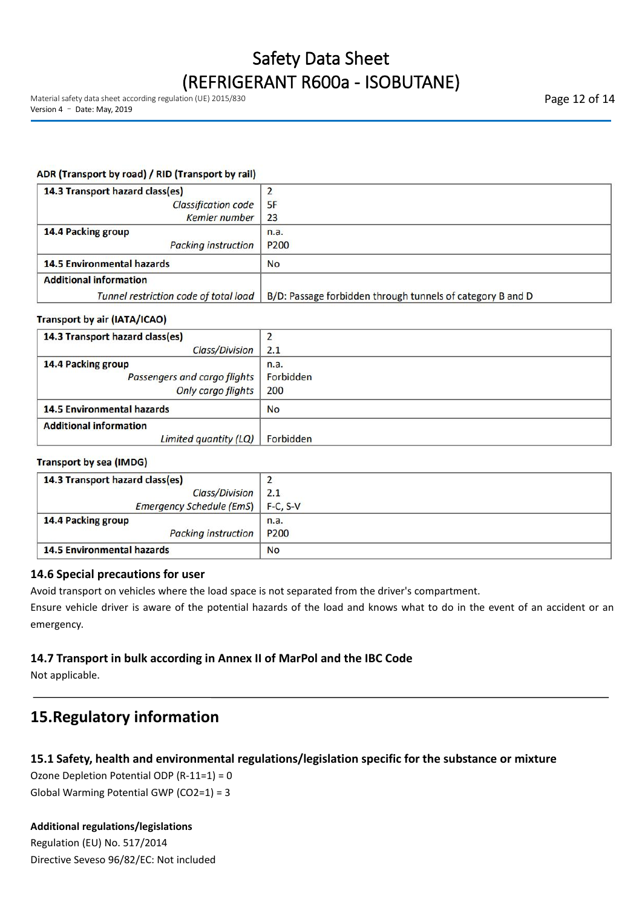### ADR (Transport by road) / RID (Transport by rail)

| 14.3 Transport hazard class(es)       |                                                            |
|---------------------------------------|------------------------------------------------------------|
| <b>Classification code</b>            | 5F                                                         |
| Kemler number                         | 23                                                         |
| 14.4 Packing group                    | n.a.                                                       |
| <b>Packing instruction</b>            | P <sub>200</sub>                                           |
| <b>14.5 Environmental hazards</b>     | <b>No</b>                                                  |
| <b>Additional information</b>         |                                                            |
| Tunnel restriction code of total load | B/D: Passage forbidden through tunnels of category B and D |

### **Transport by air (IATA/ICAO)**

| 14.3 Transport hazard class(es)   |           |
|-----------------------------------|-----------|
| <b>Class/Division</b>             | 2.1       |
| 14.4 Packing group                | n.a.      |
| Passengers and cargo flights      | Forbidden |
| <b>Only cargo flights</b>         | 200       |
| <b>14.5 Environmental hazards</b> | <b>No</b> |
| <b>Additional information</b>     |           |
| Limited quantity (LQ)             | Forbidden |

#### **Transport by sea (IMDG)**

| 14.3 Transport hazard class(es)     |                  |
|-------------------------------------|------------------|
| Class/Division                      | 2.1              |
| Emergency Schedule (EmS)   F-C, S-V |                  |
| 14.4 Packing group                  | n.a.             |
| Packing instruction                 | P <sub>200</sub> |
| <b>14.5 Environmental hazards</b>   | <b>No</b>        |

### **14.6 Special precautions for user**

Avoid transport on vehicles where the load space is not separated from the driver's compartment.

Ensure vehicle driver is aware of the potential hazards of the load and knows what to do in the event of an accident or an emergency.

## **14.7 Transport in bulk according in Annex II of MarPol and the IBC Code**

Not applicable.

# **15.Regulatory information**

## **15.1 Safety, health and environmental regulations/legislation specific for the substance or mixture**

Ozone Depletion Potential ODP (R-11=1) = 0 Global Warming Potential GWP (CO2=1) = 3

### **Additional regulations/legislations**

Regulation (EU) No. 517/2014 Directive Seveso 96/82/EC: Not included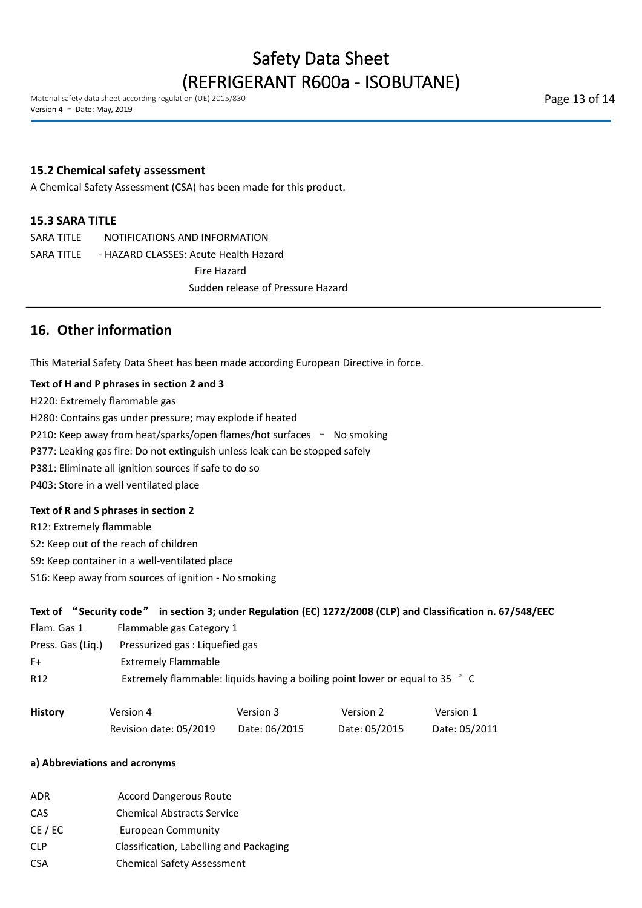Material safety data sheet according regulation (UE) 2015/830 Version 4 – Date: May, 2019

### **15.2 Chemical safety assessment**

A Chemical Safety Assessment (CSA) has been made for this product.

### **15.3 SARA TITLE**

SARA TITLE NOTIFICATIONS AND INFORMATION SARA TITLE - HAZARD CLASSES: Acute Health Hazard Fire Hazard Sudden release of Pressure Hazard

# **16. Other information**

This Material Safety Data Sheet has been made according European Directive in force.

### **Text of H andP phrases in section 2 and 3**

H220: Extremely flammable gas

H280: Contains gas under pressure; may explode if heated

P210: Keep away from heat/sparks/open flames/hot surfaces - No smoking

P377: Leaking gas fire: Do not extinguish unless leak can be stopped safely

P381: Eliminate all ignition sources if safe to do so

P403: Store in a well ventilated place

### **Text of R and S phrases in section 2**

R12: Extremely flammable

S2: Keep out of the reach of children

S9: Keep container in a well-ventilated place

S16: Keep away from sources of ignition - No smoking

|                   |                                                                              |               |               | Text of "Security code" in section 3; under Regulation (EC) 1272/2008 (CLP) and Classification n. 67/548/EEC |  |
|-------------------|------------------------------------------------------------------------------|---------------|---------------|--------------------------------------------------------------------------------------------------------------|--|
| Flam. Gas 1       | Flammable gas Category 1                                                     |               |               |                                                                                                              |  |
| Press. Gas (Lig.) | Pressurized gas : Liquefied gas                                              |               |               |                                                                                                              |  |
| $F+$              | <b>Extremely Flammable</b>                                                   |               |               |                                                                                                              |  |
| R <sub>12</sub>   | Extremely flammable: liquids having a boiling point lower or equal to 35 ° C |               |               |                                                                                                              |  |
|                   |                                                                              |               |               |                                                                                                              |  |
| <b>History</b>    | Version 4                                                                    | Version 3     | Version 2     | Version 1                                                                                                    |  |
|                   | Revision date: 05/2019                                                       | Date: 06/2015 | Date: 05/2015 | Date: 05/2011                                                                                                |  |

### **a) Abbreviations and acronyms**

| ADR | <b>Accord Dangerous Route</b>     |
|-----|-----------------------------------|
| CAS | <b>Chemical Abstracts Service</b> |

CE / EC European Community

CLP Classification, Labelling and Packaging

CSA Chemical Safety Assessment